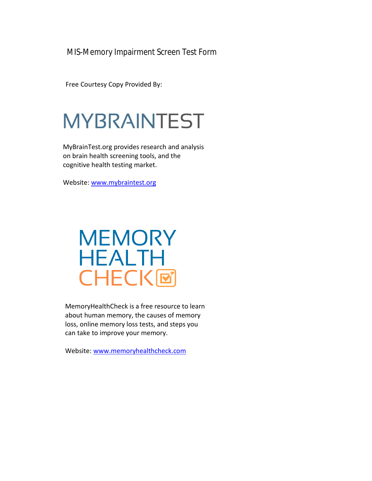MIS-Memory Impairment Screen Test Form

Free Courtesy Copy Provided By:

# **MYBRAINTEST**

MyBrainTest.org provides research and analysis on brain health screening tools, and the cognitive health testing market.

Website: [www.mybraintest.org](http://www.mybraintest.org/)

## **MEMORY HEALTH CHECK回**

MemoryHealthCheck is a free resource to learn about human memory, the causes of memory loss, online memory loss tests, and steps you can take to improve your memory.

Website: [www.memoryhealthcheck.com](http://www.memoryhealthcheck.com/)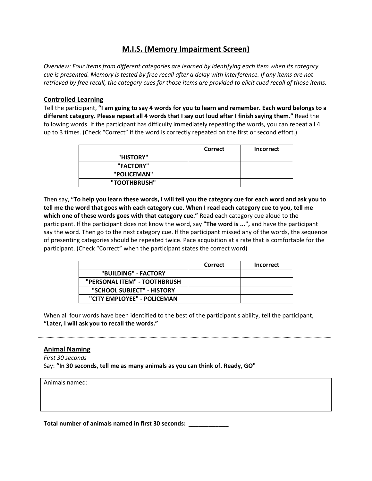### M.I.S. (Memory Impairment Screen)

Overview: Four items from different categories are learned by identifying each item when its category cue is presented. Memory is tested by free recall after a delay with interference. If any items are not retrieved by free recall, the category cues for those items are provided to elicit cued recall of those items.

#### Controlled Learning

Tell the participant, "I am going to say 4 words for you to learn and remember. Each word belongs to a different category. Please repeat all 4 words that I say out loud after I finish saying them." Read the following words. If the participant has difficulty immediately repeating the words, you can repeat all 4 up to 3 times. (Check "Correct" if the word is correctly repeated on the first or second effort.)

|              | <b>Correct</b> | <b>Incorrect</b> |
|--------------|----------------|------------------|
| "HISTORY"    |                |                  |
| "FACTORY"    |                |                  |
| "POLICEMAN"  |                |                  |
| "TOOTHBRUSH" |                |                  |

Then say, "To help you learn these words, I will tell you the category cue for each word and ask you to tell me the word that goes with each category cue. When I read each category cue to you, tell me which one of these words goes with that category cue." Read each category cue aloud to the participant. If the participant does not know the word, say "The word is ...", and have the participant say the word. Then go to the next category cue. If the participant missed any of the words, the sequence of presenting categories should be repeated twice. Pace acquisition at a rate that is comfortable for the participant. (Check "Correct" when the participant states the correct word)

|                              | Correct | <b>Incorrect</b> |
|------------------------------|---------|------------------|
| "BUILDING" - FACTORY         |         |                  |
| "PERSONAL ITEM" - TOOTHBRUSH |         |                  |
| "SCHOOL SUBJECT" - HISTORY   |         |                  |
| "CITY EMPLOYEE" - POLICEMAN  |         |                  |

When all four words have been identified to the best of the participant's ability, tell the participant, "Later, I will ask you to recall the words."

#### Animal Naming

First 30 seconds Say: "In 30 seconds, tell me as many animals as you can think of. Ready, GO"

Animals named:

Total number of animals named in first 30 seconds: \_\_\_\_\_\_\_\_\_\_\_